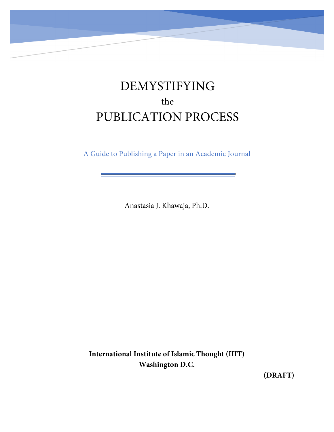# DEMYSTIFYING the PUBLICATION PROCESS

A Guide to Publishing a Paper in an Academic Journal

Anastasia J. Khawaja, Ph.D.

**International Institute of Islamic Thought (IIIT) Washington D.C.**

**(DRAFT)**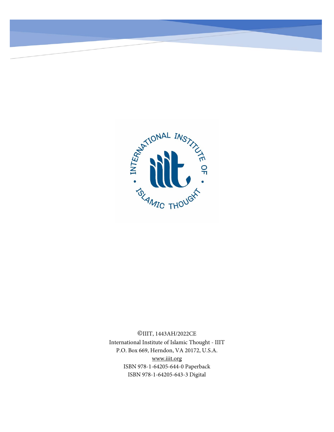

©IIIT, 1443AH/2022CE International Institute of Islamic Thought - IIIT P.O. Box 669, Herndon, VA 20172, U.S.A. [www.iiit.org](http://www.iiit.org/) ISBN 978-1-64205-644-0 Paperback ISBN 978-1-64205-643-3 Digital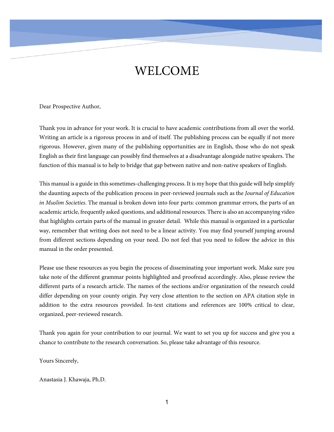# WELCOME

Dear Prospective Author,

Thank you in advance for your work. It is crucial to have academic contributions from all over the world. Writing an article is a rigorous process in and of itself. The publishing process can be equally if not more rigorous. However, given many of the publishing opportunities are in English, those who do not speak English as their first language can possibly find themselves at a disadvantage alongside native speakers. The function of this manual is to help to bridge that gap between native and non-native speakers of English.

This manual is a guide in this sometimes-challenging process. It is my hope that this guide will help simplify the daunting aspects of the publication process in peer-reviewed journals such as the *Journal of Education in Muslim Societies*. The manual is broken down into four parts: common grammar errors, the parts of an academic article, frequently asked questions, and additional resources. There is also an accompanying video that highlights certain parts of the manual in greater detail. While this manual is organized in a particular way, remember that writing does not need to be a linear activity. You may find yourself jumping around from different sections depending on your need. Do not feel that you need to follow the advice in this manual in the order presented.

Please use these resources as you begin the process of disseminating your important work. Make sure you take note of the different grammar points highlighted and proofread accordingly. Also, please review the different parts of a research article. The names of the sections and/or organization of the research could differ depending on your county origin. Pay very close attention to the section on APA citation style in addition to the extra resources provided. In-text citations and references are 100% critical to clear, organized, peer-reviewed research.

Thank you again for your contribution to our journal. We want to set you up for success and give you a chance to contribute to the research conversation. So, please take advantage of this resource.

Yours Sincerely,

Anastasia J. Khawaja, Ph.D.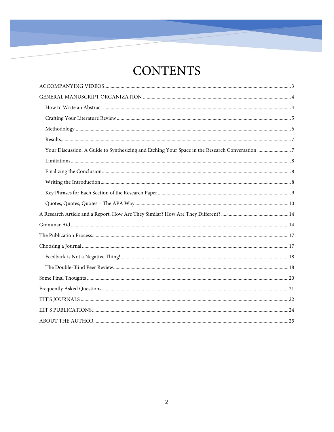# **CONTENTS**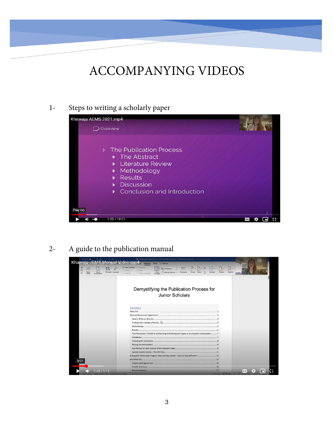# ACCOMPANYING VIDEOS

# 1- Steps to writing a scholarly paper



# 2- A guide to the publication manual

|                                                                                | E Publishing Manual for International Students - Khawaia response - Saved to my Mac                                                                             |                                  |
|--------------------------------------------------------------------------------|-----------------------------------------------------------------------------------------------------------------------------------------------------------------|----------------------------------|
|                                                                                | Khawaja JEMS Manual Video.mp4, Review View V Tellme                                                                                                             |                                  |
| 田<br>Translate Language<br>Check<br>Read<br>带<br>Alcud<br><b>Accessibility</b> | New Comment Previous<br>→ Bo No Markup : 田 ラ·ヨー<br>Delete ~<br><b>News</b><br>Track Markup Options v Reviewing Accept Reject P<br>Show Constretts<br>El Resolve | L.<br>Protect<br><b>Hide Ink</b> |
|                                                                                |                                                                                                                                                                 |                                  |
|                                                                                | Demystifying the Publication Process for                                                                                                                        |                                  |
|                                                                                | <b>Junior Scholars</b>                                                                                                                                          |                                  |
|                                                                                |                                                                                                                                                                 |                                  |
|                                                                                |                                                                                                                                                                 |                                  |
|                                                                                | Contents                                                                                                                                                        |                                  |
|                                                                                |                                                                                                                                                                 |                                  |
|                                                                                |                                                                                                                                                                 |                                  |
|                                                                                |                                                                                                                                                                 |                                  |
|                                                                                |                                                                                                                                                                 |                                  |
|                                                                                |                                                                                                                                                                 |                                  |
|                                                                                |                                                                                                                                                                 |                                  |
|                                                                                | Your Discussion: A Guide to synthesizing and etching your space in the research conversation  7                                                                 |                                  |
|                                                                                | Limitations 7 7                                                                                                                                                 |                                  |
|                                                                                |                                                                                                                                                                 |                                  |
|                                                                                |                                                                                                                                                                 |                                  |
|                                                                                |                                                                                                                                                                 |                                  |
|                                                                                |                                                                                                                                                                 |                                  |
|                                                                                |                                                                                                                                                                 |                                  |
| 0:21                                                                           |                                                                                                                                                                 |                                  |
|                                                                                |                                                                                                                                                                 |                                  |
|                                                                                |                                                                                                                                                                 |                                  |
| 0:38/9:18                                                                      | Reported Speech                                                                                                                                                 | $-17$<br>CC                      |
|                                                                                |                                                                                                                                                                 | <b>E'll Focus</b>                |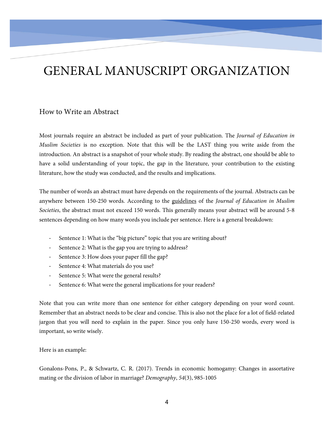# <span id="page-5-0"></span>GENERAL MANUSCRIPT ORGANIZATION

### <span id="page-5-1"></span>How to Write an Abstract

Most journals require an abstract be included as part of your publication. The *Journal of Education in Muslim Societies* is no exception. Note that this will be the LAST thing you write aside from the introduction. An abstract is a snapshot of your whole study. By reading the abstract, one should be able to have a solid understanding of your topic, the gap in the literature, your contribution to the existing literature, how the study was conducted, and the results and implications.

The number of words an abstract must have depends on the requirements of the journal. Abstracts can be anywhere between 150-250 words. According to the [guidelines](https://scholarworks.iu.edu/iupjournals/index.php/jems/about/submissions#authorGuidelines) of the *Journal of Education in Muslim Societies*, the abstract must not exceed 150 words. This generally means your abstract will be around 5-8 sentences depending on how many words you include per sentence. Here is a general breakdown:

- Sentence 1: What is the "big picture" topic that you are writing about?
- Sentence 2: What is the gap you are trying to address?
- Sentence 3: How does your paper fill the gap?
- Sentence 4: What materials do you use?
- Sentence 5: What were the general results?
- Sentence 6: What were the general implications for your readers?

Note that you can write more than one sentence for either category depending on your word count. Remember that an abstract needs to be clear and concise. This is also not the place for a lot of field-related jargon that you will need to explain in the paper. Since you only have 150-250 words, every word is important, so write wisely.

Here is an example:

Gonalons-Pons, P., & Schwartz, C. R. (2017). Trends in economic homogamy: Changes in assortative mating or the division of labor in marriage? *Demography*, *54*(3), 985-1005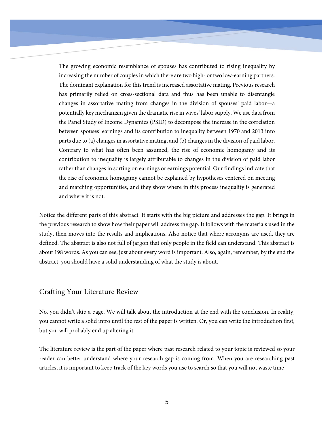The growing economic resemblance of spouses has contributed to rising inequality by increasing the number of couples in which there are two high- or two low-earning partners. The dominant explanation for this trend is increased assortative mating. Previous research has primarily relied on cross-sectional data and thus has been unable to disentangle changes in assortative mating from changes in the division of spouses' paid labor—a potentially key mechanism given the dramatic rise in wives' labor supply. We use data from the Panel Study of Income Dynamics (PSID) to decompose the increase in the correlation between spouses' earnings and its contribution to inequality between 1970 and 2013 into parts due to (a) changes in assortative mating, and (b) changes in the division of paid labor. Contrary to what has often been assumed, the rise of economic homogamy and its contribution to inequality is largely attributable to changes in the division of paid labor rather than changes in sorting on earnings or earnings potential. Our findings indicate that the rise of economic homogamy cannot be explained by hypotheses centered on meeting and matching opportunities, and they show where in this process inequality is generated and where it is not.

Notice the different parts of this abstract. It starts with the big picture and addresses the gap. It brings in the previous research to show how their paper will address the gap. It follows with the materials used in the study, then moves into the results and implications. Also notice that where acronyms are used, they are defined. The abstract is also not full of jargon that only people in the field can understand. This abstract is about 198 words. As you can see, just about every word is important. Also, again, remember, by the end the abstract, you should have a solid understanding of what the study is about.

#### <span id="page-6-0"></span>Crafting Your Literature Review

No, you didn't skip a page. We will talk about the introduction at the end with the conclusion. In reality, you cannot write a solid intro until the rest of the paper is written. Or, you can write the introduction first, but you will probably end up altering it.

The literature review is the part of the paper where past research related to your topic is reviewed so your reader can better understand where your research gap is coming from. When you are researching past articles, it is important to keep track of the key words you use to search so that you will not waste time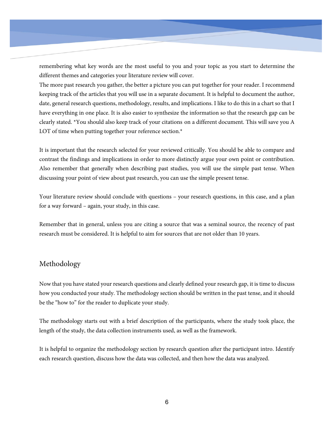remembering what key words are the most useful to you and your topic as you start to determine the different themes and categories your literature review will cover.

The more past research you gather, the better a picture you can put together for your reader. I recommend keeping track of the articles that you will use in a separate document. It is helpful to document the author, date, general research questions, methodology, results, and implications. I like to do this in a chart so that I have everything in one place. It is also easier to synthesize the information so that the research gap can be clearly stated. \*You should also keep track of your citations on a different document. This will save you A LOT of time when putting together your reference section.\*

It is important that the research selected for your reviewed critically. You should be able to compare and contrast the findings and implications in order to more distinctly argue your own point or contribution. Also remember that generally when describing past studies, you will use the simple past tense. When discussing your point of view about past research, you can use the simple present tense.

Your literature review should conclude with questions – your research questions, in this case, and a plan for a way forward – again, your study, in this case.

Remember that in general, unless you are citing a source that was a seminal source, the recency of past research must be considered. It is helpful to aim for sources that are not older than 10 years.

### <span id="page-7-0"></span>Methodology

Now that you have stated your research questions and clearly defined your research gap, it is time to discuss how you conducted your study. The methodology section should be written in the past tense, and it should be the "how to" for the reader to duplicate your study.

The methodology starts out with a brief description of the participants, where the study took place, the length of the study, the data collection instruments used, as well as the framework.

It is helpful to organize the methodology section by research question after the participant intro. Identify each research question, discuss how the data was collected, and then how the data was analyzed.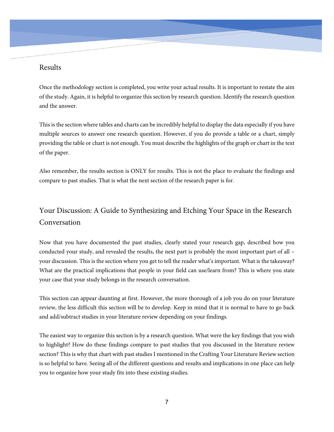### <span id="page-8-0"></span>Results

Once the methodology section is completed, you write your actual results. It is important to restate the aim of the study. Again, it is helpful to organize this section by research question. Identify the research question and the answer.

This is the section where tables and charts can be incredibly helpful to display the data especially if you have multiple sources to answer one research question. However, if you do provide a table or a chart, simply providing the table or chart is not enough. You must describe the highlights of the graph or chart in the text of the paper.

Also remember, the results section is ONLY for results. This is not the place to evaluate the findings and compare to past studies. That is what the next section of the research paper is for.

# <span id="page-8-1"></span>Your Discussion: A Guide to Synthesizing and Etching Your Space in the Research Conversation

Now that you have documented the past studies, clearly stated your research gap, described how you conducted your study, and revealed the results, the next part is probably the most important part of all – your discussion. This is the section where you get to tell the reader what's important. What is the takeaway? What are the practical implications that people in your field can use/learn from? This is where you state your case that your study belongs in the research conversation.

This section can appear daunting at first. However, the more thorough of a job you do on your literature review, the less difficult this section will be to develop. Keep in mind that it is normal to have to go back and add/subtract studies in your literature review depending on your findings.

The easiest way to organize this section is by a research question. What were the key findings that you wish to highlight? How do these findings compare to past studies that you discussed in the literature review section? This is why that chart with past studies I mentioned in the Crafting Your Literature Review section is so helpful to have. Seeing all of the different questions and results and implications in one place can help you to organize how your study fits into these existing studies.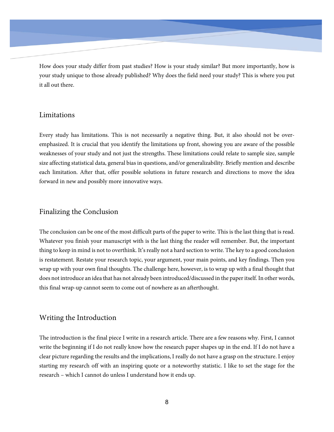How does your study differ from past studies? How is your study similar? But more importantly, how is your study unique to those already published? Why does the field need your study? This is where you put it all out there.

#### <span id="page-9-0"></span>Limitations

Every study has limitations. This is not necessarily a negative thing. But, it also should not be overemphasized. It is crucial that you identify the limitations up front, showing you are aware of the possible weaknesses of your study and not just the strengths. These limitations could relate to sample size, sample size affecting statistical data, general bias in questions, and/or generalizability. Briefly mention and describe each limitation. After that, offer possible solutions in future research and directions to move the idea forward in new and possibly more innovative ways.

### <span id="page-9-1"></span>Finalizing the Conclusion

The conclusion can be one of the most difficult parts of the paper to write. This is the last thing that is read. Whatever you finish your manuscript with is the last thing the reader will remember. But, the important thing to keep in mind is not to overthink. It's really not a hard section to write. The key to a good conclusion is restatement. Restate your research topic, your argument, your main points, and key findings. Then you wrap up with your own final thoughts. The challenge here, however, is to wrap up with a final thought that does not introduce an idea that has not already been introduced/discussed in the paper itself. In other words, this final wrap-up cannot seem to come out of nowhere as an afterthought.

# <span id="page-9-2"></span>Writing the Introduction

The introduction is the final piece I write in a research article. There are a few reasons why. First, I cannot write the beginning if I do not really know how the research paper shapes up in the end. If I do not have a clear picture regarding the results and the implications, I really do not have a grasp on the structure. I enjoy starting my research off with an inspiring quote or a noteworthy statistic. I like to set the stage for the research – which I cannot do unless I understand how it ends up.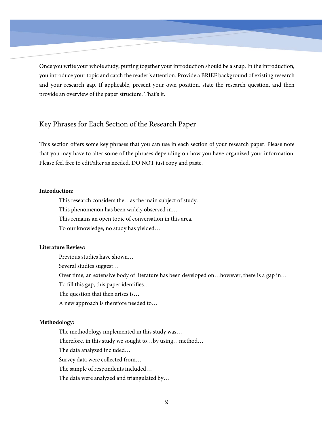Once you write your whole study, putting together your introduction should be a snap. In the introduction, you introduce your topic and catch the reader's attention. Provide a BRIEF background of existing research and your research gap. If applicable, present your own position, state the research question, and then provide an overview of the paper structure. That's it.

### <span id="page-10-0"></span>Key Phrases for Each Section of the Research Paper

This section offers some key phrases that you can use in each section of your research paper. Please note that you may have to alter some of the phrases depending on how you have organized your information. Please feel free to edit/alter as needed. DO NOT just copy and paste.

#### **Introduction:**

This research considers the…as the main subject of study. This phenomenon has been widely observed in… This remains an open topic of conversation in this area. To our knowledge, no study has yielded…

#### **Literature Review:**

Previous studies have shown…

Several studies suggest…

Over time, an extensive body of literature has been developed on... however, there is a gap in...

To fill this gap, this paper identifies…

The question that then arises is…

A new approach is therefore needed to…

#### **Methodology:**

The methodology implemented in this study was…

Therefore, in this study we sought to…by using…method…

The data analyzed included…

Survey data were collected from…

The sample of respondents included…

The data were analyzed and triangulated by…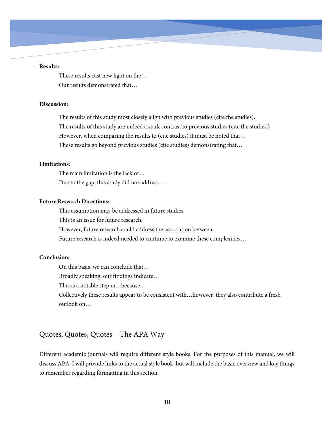#### **Results:**

These results cast new light on the… Our results demonstrated that…

#### **Discussion:**

The results of this study most closely align with previous studies (cite the studies). The results of this study are indeed a stark contrast to previous studies (cite the studies.) However, when comparing the results to (cite studies) it must be noted that… These results go beyond previous studies (cite studies) demonstrating that…

#### **Limitations:**

The main limitation is the lack of… Due to the gap, this study did not address…

#### **Future Research Directions:**

This assumption may be addressed in future studies.

This is an issue for future research.

However, future research could address the association between…

Future research is indeed needed to continue to examine these complexities…

#### **Conclusion:**

On this basis, we can conclude that…

Broadly speaking, our findings indicate…

This is a notable step in…because…

Collectively these results appear to be consistent with…however, they also contribute a fresh outlook on…

### <span id="page-11-0"></span>Quotes, Quotes, Quotes – The APA Way

Different academic journals will require different style books. For the purposes of this manual, we will discuss [APA.](https://apastyle.apa.org/) I will provide links to the actual [style book,](https://apastyle.apa.org/) but will include the basic overview and key things to remember regarding formatting in this section.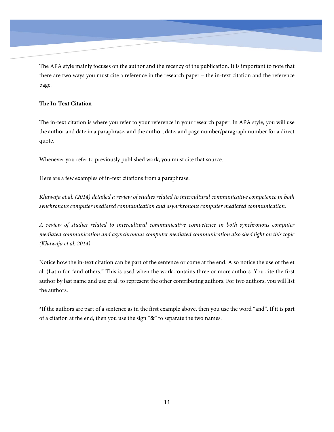The APA style mainly focuses on the author and the recency of the publication. It is important to note that there are two ways you must cite a reference in the research paper – the in-text citation and the reference page.

#### **The In-Text Citation**

The in-text citation is where you refer to your reference in your research paper. In APA style, you will use the author and date in a paraphrase, and the author, date, and page number/paragraph number for a direct quote.

Whenever you refer to previously published work, you must cite that source.

Here are a few examples of in-text citations from a paraphrase:

*Khawaja et.al. (2014) detailed a review of studies related to intercultural communicative competence in both synchronous computer mediated communication and asynchronous computer mediated communication.*

*A review of studies related to intercultural communicative competence in both synchronous computer mediated communication and asynchronous computer mediated communication also shed light on this topic (Khawaja et al. 2014).*

Notice how the in-text citation can be part of the sentence or come at the end. Also notice the use of the et al. (Latin for "and others." This is used when the work contains three or more authors. You cite the first author by last name and use et al. to represent the other contributing authors. For two authors, you will list the authors.

\*If the authors are part of a sentence as in the first example above, then you use the word "and". If it is part of a citation at the end, then you use the sign "&" to separate the two names.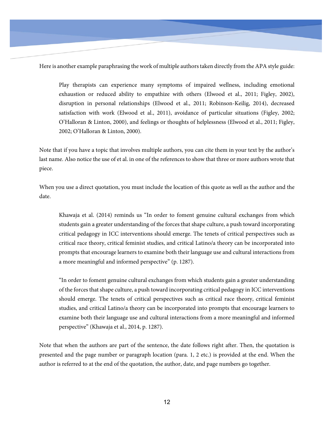Here is another example paraphrasing the work of multiple authors taken directly from the APA style guide:

Play therapists can experience many symptoms of impaired wellness, including emotional exhaustion or reduced ability to empathize with others (Elwood et al., 2011; Figley, 2002), disruption in personal relationships (Elwood et al., 2011; Robinson-Keilig, 2014), decreased satisfaction with work (Elwood et al., 2011), avoidance of particular situations (Figley, 2002; O'Halloran & Linton, 2000), and feelings or thoughts of helplessness (Elwood et al., 2011; Figley, 2002; O'Halloran & Linton, 2000).

Note that if you have a topic that involves multiple authors, you can cite them in your text by the author's last name. Also notice the use of et al. in one of the references to show that three or more authors wrote that piece.

When you use a direct quotation, you must include the location of this quote as well as the author and the date.

Khawaja et al. (2014) reminds us "In order to foment genuine cultural exchanges from which students gain a greater understanding of the forces that shape culture, a push toward incorporating critical pedagogy in ICC interventions should emerge. The tenets of critical perspectives such as critical race theory, critical feminist studies, and critical Latino/a theory can be incorporated into prompts that encourage learners to examine both their language use and cultural interactions from a more meaningful and informed perspective" (p. 1287).

"In order to foment genuine cultural exchanges from which students gain a greater understanding of the forces that shape culture, a push toward incorporating critical pedagogy in ICC interventions should emerge. The tenets of critical perspectives such as critical race theory, critical feminist studies, and critical Latino/a theory can be incorporated into prompts that encourage learners to examine both their language use and cultural interactions from a more meaningful and informed perspective" (Khawaja et al., 2014, p. 1287).

Note that when the authors are part of the sentence, the date follows right after. Then, the quotation is presented and the page number or paragraph location (para. 1, 2 etc.) is provided at the end. When the author is referred to at the end of the quotation, the author, date, and page numbers go together.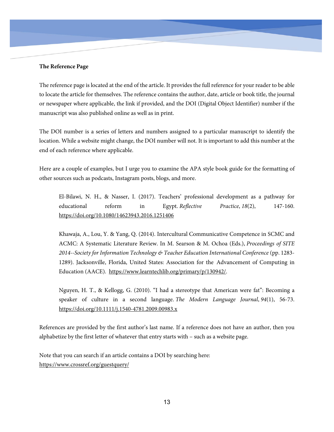#### **The Reference Page**

The reference page is located at the end of the article. It provides the full reference for your reader to be able to locate the article for themselves. The reference contains the author, date, article or book title, the journal or newspaper where applicable, the link if provided, and the DOI (Digital Object Identifier) number if the manuscript was also published online as well as in print.

The DOI number is a series of letters and numbers assigned to a particular manuscript to identify the location. While a website might change, the DOI number will not. It is important to add this number at the end of each reference where applicable.

Here are a couple of examples, but I urge you to examine the APA style book guide for the formatting of other sources such as podcasts, Instagram posts, blogs, and more.

El-Bilawi, N. H., & Nasser, I. (2017). Teachers' professional development as a pathway for educational reform in Egypt. *Reflective Practice*, *18*(2), 147-160. <https://doi.org/10.1080/14623943.2016.1251406>

Khawaja, A., Lou, Y. & Yang, Q. (2014). Intercultural Communicative Competence in SCMC and ACMC: A Systematic Literature Review. In M. Searson & M. Ochoa (Eds.), *Proceedings of SITE 2014--Society for Information Technology & Teacher Education International Conference* (pp. 1283- 1289). Jacksonville, Florida, United States: Association for the Advancement of Computing in Education (AACE). [https://www.learntechlib.org/primary/p/130942/.](https://www.learntechlib.org/primary/p/130942/)

Nguyen, H. T., & Kellogg, G. (2010). "I had a stereotype that American were fat": Becoming a speaker of culture in a second language. *The Modern Language Journal*, *94*(1), 56-73. <https://doi.org/10.1111/j.1540-4781.2009.00983.x>

References are provided by the first author's last name. If a reference does not have an author, then you alphabetize by the first letter of whatever that entry starts with – such as a website page.

Note that you can search if an article contains a DOI by searching here: <https://www.crossref.org/guestquery/>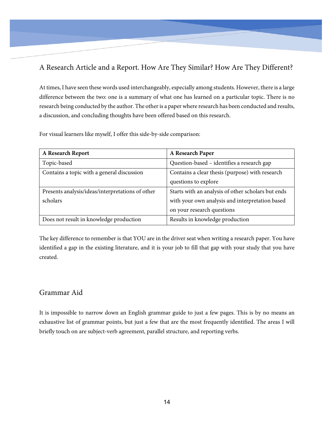# <span id="page-15-0"></span>A Research Article and a Report. How Are They Similar? How Are They Different?

At times, I have seen these words used interchangeably, especially among students. However, there is a large difference between the two: one is a summary of what one has learned on a particular topic. There is no research being conducted by the author. The other is a paper where research has been conducted and results, a discussion, and concluding thoughts have been offered based on this research.

For visual learners like myself, I offer this side-by-side comparison:

| A Research Report                                | A Research Paper                                   |
|--------------------------------------------------|----------------------------------------------------|
| Topic-based                                      | Question-based - identifies a research gap         |
| Contains a topic with a general discussion       | Contains a clear thesis (purpose) with research    |
|                                                  | questions to explore                               |
| Presents analysis/ideas/interpretations of other | Starts with an analysis of other scholars but ends |
| scholars                                         | with your own analysis and interpretation based    |
|                                                  | on your research questions                         |
| Does not result in knowledge production          | Results in knowledge production                    |

The key difference to remember is that YOU are in the driver seat when writing a research paper. You have identified a gap in the existing literature, and it is your job to fill that gap with your study that you have created.

# <span id="page-15-1"></span>Grammar Aid

It is impossible to narrow down an English grammar guide to just a few pages. This is by no means an exhaustive list of grammar points, but just a few that are the most frequently identified. The areas I will briefly touch on are subject-verb agreement, parallel structure, and reporting verbs.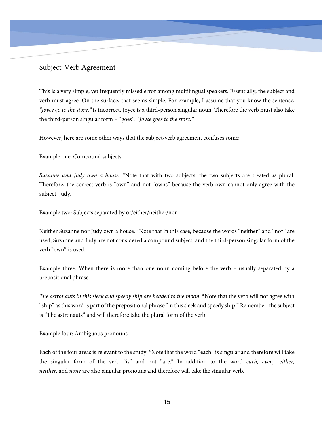### Subject-Verb Agreement

This is a very simple, yet frequently missed error among multilingual speakers. Essentially, the subject and verb must agree. On the surface, that seems simple. For example, I assume that you know the sentence, *"Joyce go to the store,"* is incorrect. Joyce is a third-person singular noun. Therefore the verb must also take the third-person singular form – "goes". *"Joyce goes to the store."*

However, here are some other ways that the subject-verb agreement confuses some:

Example one: Compound subjects

*Suzanne and Judy own a house. \**Note that with two subjects, the two subjects are treated as plural. Therefore, the correct verb is "own" and not "owns" because the verb own cannot only agree with the subject, Judy.

Example two: Subjects separated by or/either/neither/nor

Neither Suzanne nor Judy own a house. \*Note that in this case, because the words "neither" and "nor" are used, Suzanne and Judy are not considered a compound subject, and the third-person singular form of the verb "own" is used.

Example three: When there is more than one noun coming before the verb – usually separated by a prepositional phrase

*The astronauts in this sleek and speedy ship are headed to the moon.* \*Note that the verb will not agree with "ship" as this word is part of the prepositional phrase "in this sleek and speedy ship." Remember, the subject is "The astronauts" and will therefore take the plural form of the verb.

Example four: Ambiguous pronouns

Each of the four areas is relevant to the study. \*Note that the word "each" is singular and therefore will take the singular form of the verb "is" and not "are." In addition to the word *each, every, either, neither,* and *none* are also singular pronouns and therefore will take the singular verb.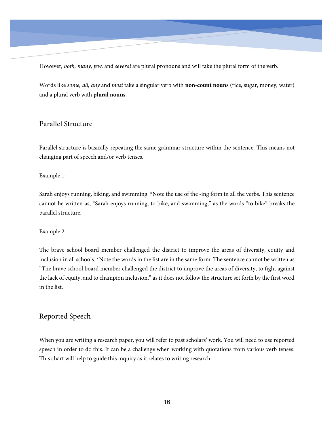However*, both, many, few,* and *several* are plural pronouns and will take the plural form of the verb.

Words like *some, all, any* and *most* take a singular verb with **non-count nouns** (rice, sugar, money, water) and a plural verb with **plural nouns**.

# Parallel Structure

Parallel structure is basically repeating the same grammar structure within the sentence. This means not changing part of speech and/or verb tenses.

Example 1:

Sarah enjoys running, biking, and swimming. \*Note the use of the -ing form in all the verbs. This sentence cannot be written as, "Sarah enjoys running, to bike, and swimming," as the words "to bike" breaks the parallel structure.

Example 2:

The brave school board member challenged the district to improve the areas of diversity, equity and inclusion in all schools. \*Note the words in the list are in the same form. The sentence cannot be written as "The brave school board member challenged the district to improve the areas of diversity, to fight against the lack of equity, and to champion inclusion," as it does not follow the structure set forth by the first word in the list.

# Reported Speech

When you are writing a research paper, you will refer to past scholars' work. You will need to use reported speech in order to do this. It can be a challenge when working with quotations from various verb tenses. This chart will help to guide this inquiry as it relates to writing research.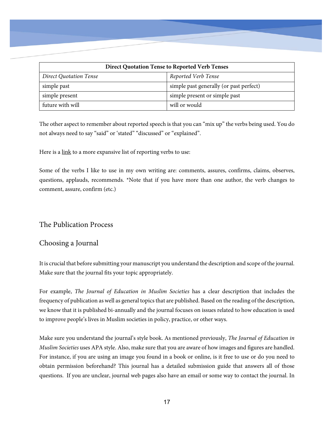| <b>Direct Quotation Tense to Reported Verb Tenses</b> |                                         |  |
|-------------------------------------------------------|-----------------------------------------|--|
| Direct Quotation Tense                                | Reported Verb Tense                     |  |
| simple past                                           | simple past generally (or past perfect) |  |
| simple present                                        | simple present or simple past           |  |
| future with will                                      | will or would                           |  |

The other aspect to remember about reported speech is that you can "mix up" the verbs being used. You do not always need to say "said" or 'stated" "discussed" or "explained".

Here is a [link](https://www.uts.edu.au/sites/default/files/Reporting%20Verbs%20Reference%20Sheet.pdf) to a more expansive list of reporting verbs to use:

Some of the verbs I like to use in my own writing are: comments, assures, confirms, claims, observes, questions, applauds, recommends. \*Note that if you have more than one author, the verb changes to comment, assure, confirm (etc.)

# <span id="page-18-0"></span>The Publication Process

# <span id="page-18-1"></span>Choosing a Journal

It is crucial that before submitting your manuscript you understand the description and scope of the journal. Make sure that the journal fits your topic appropriately.

For example, *The Journal of Education in Muslim Societies* has a clear description that includes the frequency of publication as well as general topics that are published. Based on the reading of the description, we know that it is published bi-annually and the journal focuses on issues related to how education is used to improve people's lives in Muslim societies in policy, practice, or other ways.

Make sure you understand the journal's style book. As mentioned previously, *The Journal of Education in Muslim Societies* uses APA style. Also, make sure that you are aware of how images and figures are handled. For instance, if you are using an image you found in a book or online, is it free to use or do you need to obtain permission beforehand? This journal has a detailed submission guide that answers all of those questions. If you are unclear, journal web pages also have an email or some way to contact the journal. In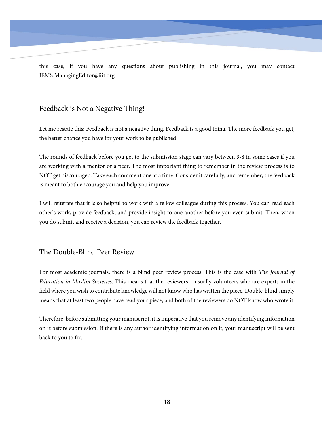this case, if you have any questions about publishing in this journal, you may contact JEMS.ManagingEditor@iiit.org.

# <span id="page-19-0"></span>Feedback is Not a Negative Thing!

Let me restate this: Feedback is not a negative thing. Feedback is a good thing. The more feedback you get, the better chance you have for your work to be published.

The rounds of feedback before you get to the submission stage can vary between 3-8 in some cases if you are working with a mentor or a peer. The most important thing to remember in the review process is to NOT get discouraged. Take each comment one at a time. Consider it carefully, and remember, the feedback is meant to both encourage you and help you improve.

I will reiterate that it is so helpful to work with a fellow colleague during this process. You can read each other's work, provide feedback, and provide insight to one another before you even submit. Then, when you do submit and receive a decision, you can review the feedback together.

# <span id="page-19-1"></span>The Double-Blind Peer Review

For most academic journals, there is a blind peer review process. This is the case with *The Journal of Education in Muslim Societies*. This means that the reviewers – usually volunteers who are experts in the field where you wish to contribute knowledge will not know who has written the piece. Double-blind simply means that at least two people have read your piece, and both of the reviewers do NOT know who wrote it.

Therefore, before submitting your manuscript, it is imperative that you remove any identifying information on it before submission. If there is any author identifying information on it, your manuscript will be sent back to you to fix.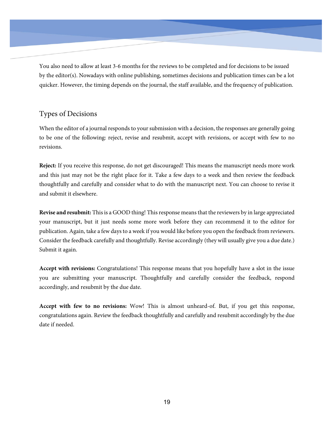You also need to allow at least 3-6 months for the reviews to be completed and for decisions to be issued by the editor(s). Nowadays with online publishing, sometimes decisions and publication times can be a lot quicker. However, the timing depends on the journal, the staff available, and the frequency of publication.

# Types of Decisions

When the editor of a journal responds to your submission with a decision, the responses are generally going to be one of the following: reject, revise and resubmit, accept with revisions, or accept with few to no revisions.

**Reject:** If you receive this response, do not get discouraged! This means the manuscript needs more work and this just may not be the right place for it. Take a few days to a week and then review the feedback thoughtfully and carefully and consider what to do with the manuscript next. You can choose to revise it and submit it elsewhere.

**Revise and resubmit:** This is a GOOD thing! This response means that the reviewers by in large appreciated your manuscript, but it just needs some more work before they can recommend it to the editor for publication. Again, take a few days to a week if you would like before you open the feedback from reviewers. Consider the feedback carefully and thoughtfully. Revise accordingly (they will usually give you a due date.) Submit it again.

**Accept with revisions:** Congratulations! This response means that you hopefully have a slot in the issue you are submitting your manuscript. Thoughtfully and carefully consider the feedback, respond accordingly, and resubmit by the due date.

**Accept with few to no revisions:** Wow! This is almost unheard-of. But, if you get this response, congratulations again. Review the feedback thoughtfully and carefully and resubmit accordingly by the due date if needed.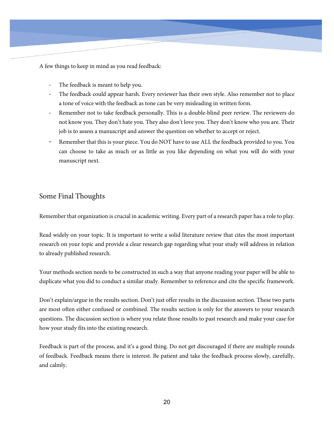A few things to keep in mind as you read feedback:

- The feedback is meant to help you.
- The feedback could appear harsh. Every reviewer has their own style. Also remember not to place a tone of voice with the feedback as tone can be very misleading in written form.
- Remember not to take feedback personally. This is a double-blind peer review. The reviewers do not know you. They don't hate you. They also don't love you. They don't know who you are. Their job is to assess a manuscript and answer the question on whether to accept or reject.
- Remember that this is your piece. You do NOT have to use ALL the feedback provided to you. You can choose to take as much or as little as you like depending on what you will do with your manuscript next.

# <span id="page-21-0"></span>Some Final Thoughts

Remember that organization is crucial in academic writing. Every part of a research paper has a role to play.

Read widely on your topic. It is important to write a solid literature review that cites the most important research on your topic and provide a clear research gap regarding what your study will address in relation to already published research.

Your methods section needs to be constructed in such a way that anyone reading your paper will be able to duplicate what you did to conduct a similar study. Remember to reference and cite the specific framework.

Don't explain/argue in the results section. Don't just offer results in the discussion section. These two parts are most often either confused or combined. The results section is only for the answers to your research questions. The discussion section is where you relate those results to past research and make your case for how your study fits into the existing research.

Feedback is part of the process, and it's a good thing. Do not get discouraged if there are multiple rounds of feedback. Feedback means there is interest. Be patient and take the feedback process slowly, carefully, and calmly.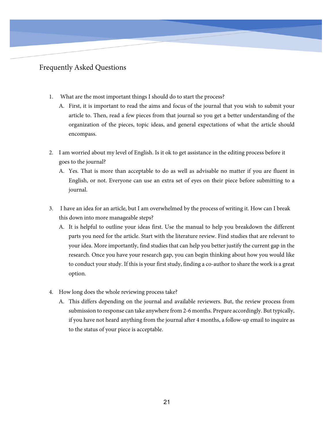# <span id="page-22-0"></span>Frequently Asked Questions

- 1. What are the most important things I should do to start the process?
	- A. First, it is important to read the aims and focus of the journal that you wish to submit your article to. Then, read a few pieces from that journal so you get a better understanding of the organization of the pieces, topic ideas, and general expectations of what the article should encompass.
- 2. I am worried about my level of English. Is it ok to get assistance in the editing process before it goes to the journal?
	- A. Yes. That is more than acceptable to do as well as advisable no matter if you are fluent in English, or not. Everyone can use an extra set of eyes on their piece before submitting to a journal.
- 3. I have an idea for an article, but I am overwhelmed by the process of writing it. How can I break this down into more manageable steps?
	- A. It is helpful to outline your ideas first. Use the manual to help you breakdown the different parts you need for the article. Start with the literature review. Find studies that are relevant to your idea. More importantly, find studies that can help you better justify the current gap in the research. Once you have your research gap, you can begin thinking about how you would like to conduct your study. If this is your first study, finding a co-author to share the work is a great option.
- 4. How long does the whole reviewing process take?
	- A. This differs depending on the journal and available reviewers. But, the review process from submission to response can take anywhere from 2-6 months. Prepare accordingly. But typically, if you have not heard anything from the journal after 4 months, a follow-up email to inquire as to the status of your piece is acceptable.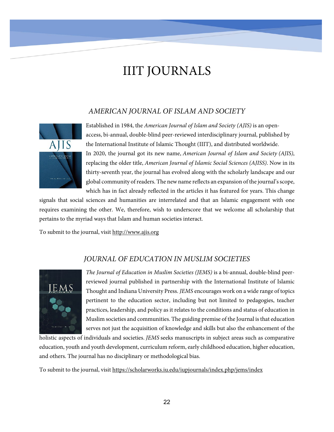# IIIT JOURNALS

# *AMERICAN JOURNAL OF ISLAM AND SOCIETY*



Established in 1984, the *American Journal of Islam and Society (AJIS)* is an openaccess, bi-annual, double-blind peer-reviewed interdisciplinary journal, published by the International Institute of Islamic Thought (IIIT), and distributed worldwide. In 2020, the journal got its new name, *American Journal of Islam and Society (AJIS)*, replacing the older title, *American Journal of Islamic Social Sciences (AJISS)*. Now in its thirty-seventh year, the journal has evolved along with the scholarly landscape and our global community of readers. The new name reflects an expansion of the journal's scope, which has in fact already reflected in the articles it has featured for years. This change

signals that social sciences and humanities are interrelated and that an Islamic engagement with one requires examining the other. We, therefore, wish to underscore that we welcome all scholarship that pertains to the myriad ways that Islam and human societies interact.

To submit to the journal, visit [http://www.ajis.org](http://www.ajis.org/)

# *JOURNAL OF EDUCATION IN MUSLIM SOCIETIES*



*The Journal of Education in Muslim Societies (JEMS)* is a bi-annual, double-blind peerreviewed journal published in partnership with the International Institute of Islamic Thought and Indiana University Press. *JEMS* encourages work on a wide range of topics pertinent to the education sector, including but not limited to pedagogies, teacher practices, leadership, and policy as it relates to the conditions and status of education in Muslim societies and communities. The guiding premise of the Journal is that education serves not just the acquisition of knowledge and skills but also the enhancement of the

holistic aspects of individuals and societies. *JEMS* seeks manuscripts in subject areas such as comparative education, youth and youth development, curriculum reform, early childhood education, higher education, and others. The journal has no disciplinary or methodological bias.

To submit to the journal, visit <https://scholarworks.iu.edu/iupjournals/index.php/jems/index>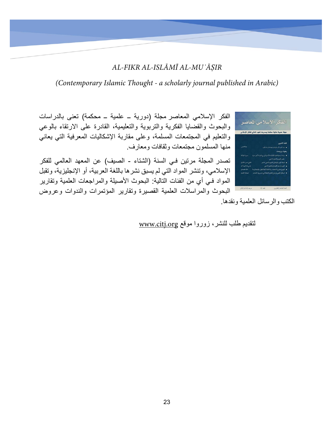# *AL-FIKR AL-ISLĀMĪ AL-MUʿĀṢIR*

*(Contemporary Islamic Thought - a scholarly journal published in Arabic)*

الفكر الإسلامي المعاصر مجلة (دوریة ــ علمیة ــ محكمة) تعنى بالدراسات لفكر الاسلامي المعاصر والبحوث والقضایا الفكریة والتربویة والتعلیمیة، القادرة على الارتقاء بالوعي والتعلیم في المجتمعات المسلمة، وعلى مقاربة الإشكالیات المعرفیة التي یعاني منھا المسلمون مجتمعات وثقافات ومعارف. تصدر المجلة مرتین فـي السنة (الشتاء - الصیف) عن المعھد العالمي للفكر الإسلامي، وتنشر المواد التي لم یسبق نشرھا باللغة العربیة، أو الإنجلیزیة، وتقبل المواد فـي أي من الفئات التالیة: البحوث الأصیلة والمراجعات العلمیة وتقاریر البحوث والمراسلات العلمیة القصیرة وتقاریر المؤتمرات والندوات وعروض

الكتب والرسائل العلمیة ونقدھا.

لتقدیم طلب للنشر، زوروا موقع www.citj.org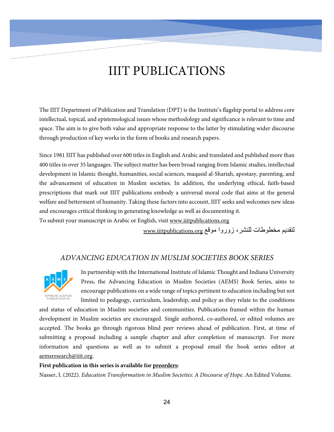# IIIT PUBLICATIONS

The IIIT Department of Publication and Translation (DPT) is the Institute's flagship portal to address core intellectual, topical, and epistemological issues whose methodology and significance is relevant to time and space. The aim is to give both value and appropriate response to the latter by stimulating wider discourse through production of key works in the form of books and research papers.

Since 1981 IIIT has published over 600 titles in English and Arabic and translated and published more than 400 titles in over 35 languages. The subject matter has been broad ranging from Islamic studies, intellectual development in Islamic thought, humanities, social sciences, maqasid al-Shariah, apostasy, parenting, and the advancement of education in Muslim societies. In addition, the underlying ethical, faith-based prescriptions that mark out IIIT publications embody a universal moral code that aims at the general welfare and betterment of humanity. Taking these factors into account, IIIT seeks and welcomes new ideas and encourages critical thinking in generating knowledge as well as documenting it.

To submit your manuscript in Arabic or English, visit [www.iiitpublications.org](http://www.iiitpublications.org/)

لتقدیم مخطوطات للنشر، زوروا موقع [org.iiitpublications.www](http://www.iiitpublications.org/)

### *ADVANCING EDUCATION IN MUSLIM SOCIETIES BOOK SERIES*



In partnership with the International Institute of Islamic Thought and Indiana University Press, the Advancing Education in Muslim Societies (AEMS) Book Series, aims to encourage publications on a wide range of topics pertinent to education including but not limited to pedagogy, curriculum, leadership, and policy as they relate to the conditions

and status of education in Muslim societies and communities. Publications framed within the human development in Muslim societies are encouraged. Single authored, co-authored, or edited volumes are accepted. The books go through rigorous blind peer reviews ahead of publication. First, at time of submitting a proposal including a sample chapter and after completion of manuscript. For more information and questions as well as to submit a proposal email the book series editor at [aemsresearch@iiit.org.](mailto:aemsresearch@iiit.org) 

#### **First publication in this series is available for [preorders:](https://www.amazon.com/Education-Transformation-Muslim-Societies-Discourse/dp/0253063795/ref=tmm_hrd_swatch_0?_encoding=UTF8&qid=&sr=)**

Nasser, I. (2022). *Education Transformation in Muslim Societies*: *A Discourse of Hope.* An Edited Volume.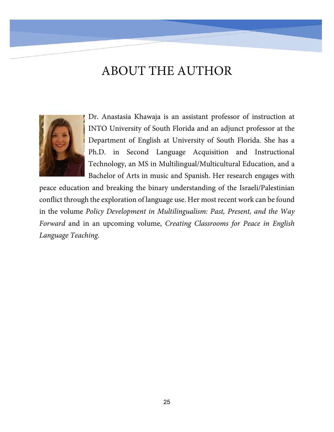# ABOUT THE AUTHOR



Dr. Anastasia Khawaja is an assistant professor of instruction at INTO University of South Florida and an adjunct professor at the Department of English at University of South Florida. She has a Ph.D. in Second Language Acquisition and Instructional Technology, an MS in Multilingual/Multicultural Education, and a Bachelor of Arts in music and Spanish. Her research engages with

peace education and breaking the binary understanding of the Israeli/Palestinian conflict through the exploration of language use. Her most recent work can be found in the volume *Policy Development in Multilingualism: Past, Present, and the Way Forward* and in an upcoming volume, *Creating Classrooms for Peace in English Language Teaching*.